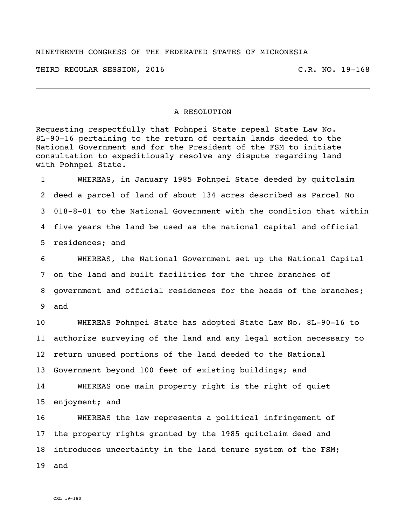## NINETEENTH CONGRESS OF THE FEDERATED STATES OF MICRONESIA

THIRD REGULAR SESSION, 2016 C.R. NO. 19-168

## A RESOLUTION

Requesting respectfully that Pohnpei State repeal State Law No. 8L-90-16 pertaining to the return of certain lands deeded to the National Government and for the President of the FSM to initiate consultation to expeditiously resolve any dispute regarding land with Pohnpei State.

 WHEREAS, in January 1985 Pohnpei State deeded by quitclaim deed a parcel of land of about 134 acres described as Parcel No 018-8-01 to the National Government with the condition that within five years the land be used as the national capital and official residences; and

 WHEREAS, the National Government set up the National Capital on the land and built facilities for the three branches of government and official residences for the heads of the branches; and

 WHEREAS Pohnpei State has adopted State Law No. 8L-90-16 to authorize surveying of the land and any legal action necessary to return unused portions of the land deeded to the National Government beyond 100 feet of existing buildings; and WHEREAS one main property right is the right of quiet

enjoyment; and

 WHEREAS the law represents a political infringement of the property rights granted by the 1985 quitclaim deed and introduces uncertainty in the land tenure system of the FSM; and